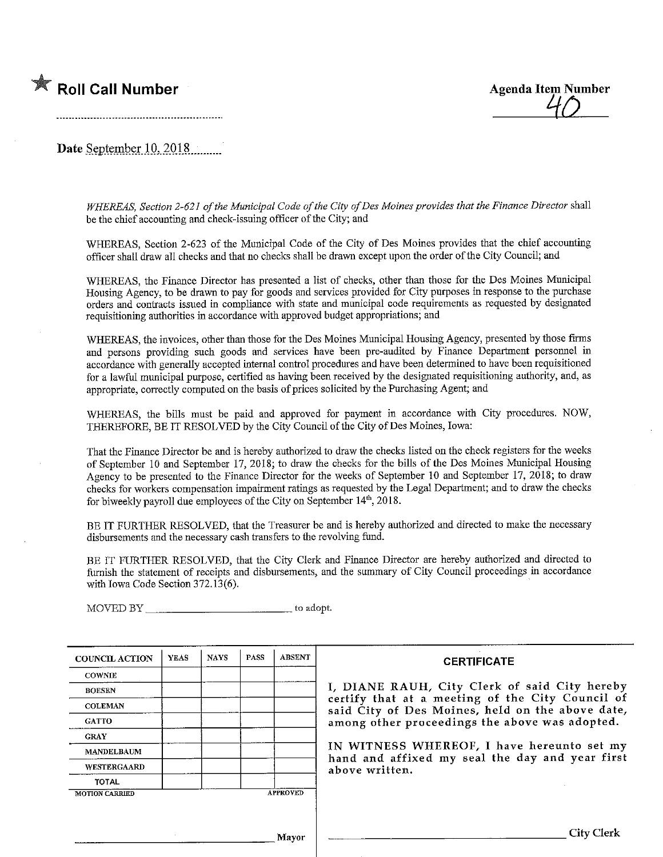## **Agenda Item Number Agenda Item Number** Agenda Item Number



Date September 10, 2018

WHEREAS, Section 2-621 of the Municipal Code of the City of Des Moines provides that the Finance Director shall be the chief accountmg and check-issuing officer of the City; and

WHEREAS, Section 2-623 of the Municipal Code of the City of Des Moines provides that the chief accounting officer shall draw all checks and that no checks shall be drawn except upon the order of the City Council; and

WHEREAS, the Finance Director has presented a list of checks, other than those for the Des Moines Municipal Housing Agency, to be drawn to pay for goods and services provided for City purposes m response to the purchase orders and contracts issued in compliance with state and municipal code requirements as requested by designated requisitioning authorities in accordance with approved budget appropriations; and

WHEREAS, the invoices, other than those for the Des Moines Municipal Housing Agency, presented by those firms and persons providing such. goods and services have been pre-audited by Finance Department personnel in accordance with generally accepted internal control procedures and have been determined to have been requisitioned for a lawful municipal purpose, certified as having been received by the designated requisitioning authority, and, as appropriate, correctly computed on the basis of prices solicited by the Purchasing Agent; and

WHEREAS, the bills must be paid and approved for payment in accordance with City procedures. NOW, THEREFORE, BE IT RBSOLVED by the City Council of the City of Des Moines, Iowa:

That the Finance Director be and is hereby authorized to draw the checks listed on the check registers for the weeks of September 10 and September 17, 2018; to draw the checks for the bills of the Des Moines Municipal Housing Agency to be presented to the Finance Director for the weeks of September 10 and September 17, 2018; to draw checks for workers compensation impairment ratings as requested by the Legal Department; and to draw the checks for biweekly payroll due employees of the City on September  $14<sup>th</sup>$ , 2018.

BE IT FURTHER RESOLVED, that the Treasurer be and is hereby authorized and directed to make the necessary disbursements and the necessary cash transfers to fhe revolving fund.

BE IT FURTHER RESOLVED, that the City Clerk and Finance Director are hereby authorized and directed to furnish the statement of receipts and disbursements, and the summary of City Council proceedings in accordance with Iowa Code Section 372.13(6).

MOVED BY to adopt.

| <b>COUNCIL ACTION</b> | <b>YEAS</b> | <b>NAYS</b> | <b>PASS</b> | <b>ABSENT</b>   | <b>CERTIFICATE</b>                                                                                   |
|-----------------------|-------------|-------------|-------------|-----------------|------------------------------------------------------------------------------------------------------|
| <b>COWNIE</b>         |             |             |             |                 |                                                                                                      |
| <b>BOESEN</b>         |             |             |             |                 | I, DIANE RAUH, City Clerk of said City hereby                                                        |
| <b>COLEMAN</b>        |             |             |             |                 | certify that at a meeting of the City Council of<br>said City of Des Moines, held on the above date, |
| <b>GATTO</b>          |             |             |             |                 | among other proceedings the above was adopted.                                                       |
| <b>GRAY</b>           |             |             |             |                 |                                                                                                      |
| <b>MANDELBAUM</b>     |             |             |             |                 | IN WITNESS WHEREOF, I have hereunto set my<br>hand and affixed my seal the day and year first        |
| WESTERGAARD           |             |             |             |                 | above written.                                                                                       |
| TOTAL                 |             |             |             |                 |                                                                                                      |
| <b>MOTION CARRIED</b> |             |             |             | <b>APPROVED</b> |                                                                                                      |
|                       |             |             |             |                 |                                                                                                      |
|                       |             |             |             |                 |                                                                                                      |
|                       |             |             |             | Mayor           | City Clerk                                                                                           |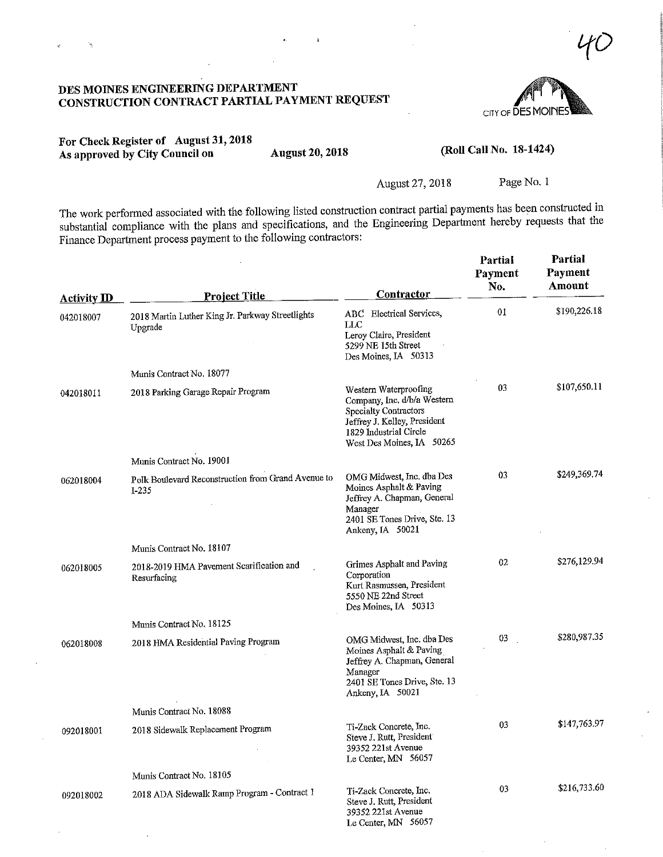$\overline{C}$ 

# CITY OF DES MOI

For Check Register of August 31,2018 As approved by City Council on August 20, 2018

#### (Roll Call No. 18-1424)

August 27,2018 Page No. 1

the work performed associated with the following listed construction contract partial payments has been constructed in the substantial compliance with the plans and specifications, and the Engineering Department hereby requests that the Finance Department process payment to the following contractors:

|                                 | <b>Project Title</b>                                        | <b>Contractor</b>                                                                                                                                                    | Partial<br>Payment<br>No. | Partial<br>Payment<br>Amount |
|---------------------------------|-------------------------------------------------------------|----------------------------------------------------------------------------------------------------------------------------------------------------------------------|---------------------------|------------------------------|
| <b>Activity ID</b><br>042018007 | 2018 Martin Luther King Jr. Parkway Streetlights<br>Upgrade | ABC Electrical Services,<br>$_{\rm LLC}$<br>Leroy Claire, President<br>5299 NE 15th Street<br>Des Moines, IA 50313                                                   | 01                        | \$190,226.18                 |
|                                 | Munis Contract No. 18077                                    |                                                                                                                                                                      |                           |                              |
| 042018011                       | 2018 Parking Garage Repair Program                          | Western Waterproofing<br>Company, Inc. d/b/a Western<br>Specialty Contractors<br>Jeffrey J. Kelley, President<br>1829 Industrial Circle<br>West Des Moines, IA 50265 | 03                        | \$107,650.11                 |
|                                 | Munis Contract No. 19001                                    |                                                                                                                                                                      |                           |                              |
| 062018004                       | Polk Boulevard Reconstruction from Grand Avenue to<br>I-235 | OMG Midwest, Inc. dba Des<br>Moines Asphalt & Paving<br>Jeffrey A. Chapman, General<br>Manager<br>2401 SE Tones Drive, Ste. 13<br>Ankeny, IA 50021                   | 03                        | \$249,369.74                 |
|                                 | Munis Contract No. 18107                                    |                                                                                                                                                                      |                           |                              |
| 062018005                       | 2018-2019 HMA Pavement Scarification and<br>Resurfacing     | Grimes Asphalt and Paving<br>Corporation<br>Kurt Rasmussen, President<br>5550 NE 22nd Street<br>Des Moines, IA 50313                                                 | 02                        | \$276,129.94                 |
|                                 | Munis Contract No. 18125                                    |                                                                                                                                                                      |                           |                              |
| 062018008                       | 2018 HMA Residential Paving Program                         | OMG Midwest, Inc. dba Des<br>Moines Asphalt & Paving<br>Jeffrey A. Chapman, General<br>Manager<br>2401 SE Tones Drive, Ste. 13<br>Ankeny, IA 50021                   | 03                        | \$280,987.35                 |
|                                 | Munis Contract No. 18088                                    |                                                                                                                                                                      |                           |                              |
| 092018001                       | 2018 Sidewalk Replacement Program                           | Ti-Zack Concrete, Inc.<br>Steve J. Rutt, President<br>39352 221st Avenue<br>Le Center, MN 56057                                                                      | 03                        | \$147,763.97                 |
|                                 | Munis Contract No. 18105                                    |                                                                                                                                                                      |                           |                              |
| 092018002                       | 2018 ADA Sidewalk Ramp Program - Contract 1                 | Ti-Zack Concrete, Inc.<br>Steve J. Rutt, President<br>39352 221st Avenue<br>Le Center, MN 56057                                                                      | 03                        | \$216,733.60                 |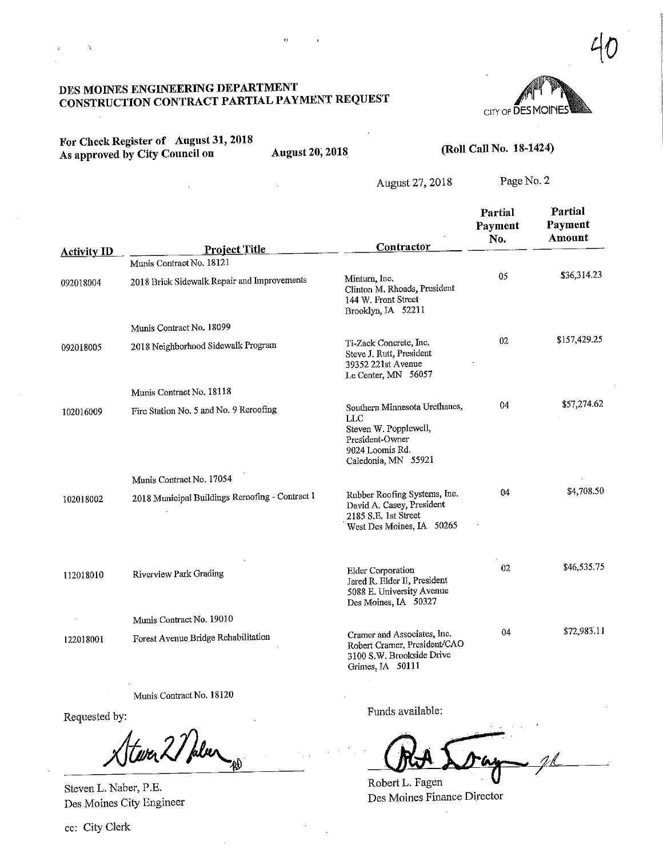#### For Check Register of August 31, 2018 As approved by City Council on August 20, 2018

 $\bar{\mathbf{r}})$ 

### (Roll Call No. 1S-1424)

August 27, 2018

Page No. 2

CITY OF DES MOINES

| <b>Activity ID</b> | <b>Project Title</b>                            | Contractor                                                                                                                        | Partial<br>Payment<br>No. | <b>Faruai</b><br>Payment<br>Amount |
|--------------------|-------------------------------------------------|-----------------------------------------------------------------------------------------------------------------------------------|---------------------------|------------------------------------|
|                    | Munis Contract No. 18121                        |                                                                                                                                   |                           |                                    |
| 092018004          | 2018 Brick Sidewalk Repair and Improvements     | Minturn, Inc.<br>Clinton M. Rhoads, President<br>144 W. Front Street<br>Brooklyn, IA 52211                                        | 05                        | \$36,314.23                        |
|                    | Munis Contract No. 18099                        |                                                                                                                                   |                           |                                    |
| 092018005          | 2018 Neighborhood Sidewalk Program              | Ti-Zack Concrete, Inc.<br>Steve J. Rutt, President<br>39352 221st Avenue<br>Le Center, MN 56057                                   | 02                        | \$157,429.25                       |
|                    | Munis Contract No. 18118                        |                                                                                                                                   |                           |                                    |
| 102016009          | Fire Station No. 5 and No. 9 Reroofing          | Southern Minnesota Urethanes,<br><b>LLC</b><br>Steven W. Popplewell,<br>President-Owner<br>9024 Loomis Rd.<br>Caledonia, MN 55921 | 04                        | \$57,274.62                        |
|                    | Munis Contract No. 17054                        |                                                                                                                                   |                           |                                    |
| 102018002          | 2018 Municipal Buildings Reroofing - Contract I | Rubber Roofing Systems, Inc.<br>David A. Casey, President<br>2185 S.E. 1st Street<br>West Des Moines, IA 50265                    | 04                        | \$4,708.50                         |
| 112018010          | Riverview Park Grading                          | <b>Elder Corporation</b><br>Jared R. Elder II, President<br>5088 E. University Avenue<br>Des Moines, IA 50327                     | 02                        | \$46,535.75                        |
|                    | Munis Contract No. 19010                        |                                                                                                                                   |                           |                                    |
| 122018001          | Forest Avenue Bridge Rehabilitation             | Cramer and Associates, Inc.<br>Robert Cramer, President/CAO<br>3100 S.W. Brookside Drive<br>Grimes, IA 50111                      | 04                        | \$72,983.11                        |

Munis Contract No. 18120

Requested by:

Walur

Steven L. Naber, P.E. Des Moines City Engineer

ec: City Clerk

Funds available:

<u>ND</u>

Robert L. Fagen Des Moines Finance Director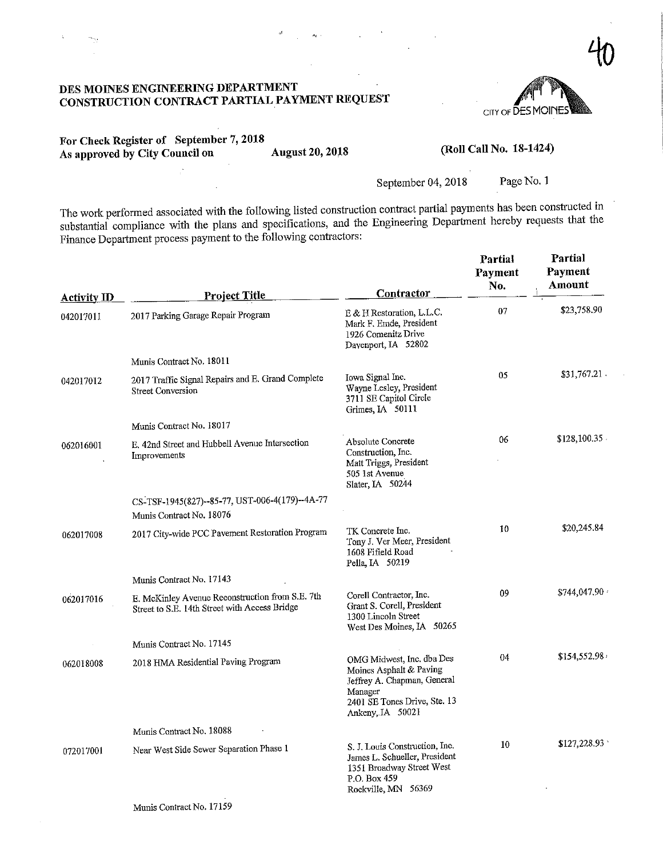CITY OF DES MOINE  $\boldsymbol{w}$ 

#### For Check Register of September 7, 2018<br>As approved by City Council on August 20, 2018 As approved by City Council on

 $\mathbb{R}^2$ 

#### (Roll Call No. 18-1424)

September 04, 2018 Page No. 1

The work performed associated with the following listed construction contract partial payments has been constructed in substantial compliance with the plans and specifications, and the Engineering Department hereby requests that the Finance Department process payment to the following contractors:

| <b>Activity ID</b> | <b>Project Title</b>                                                                             | Contractor                                                                                                                                         | Partial<br>Payment<br>No. | Partial<br>Payment<br>Amount |
|--------------------|--------------------------------------------------------------------------------------------------|----------------------------------------------------------------------------------------------------------------------------------------------------|---------------------------|------------------------------|
| 042017011          | 2017 Parking Garage Repair Program                                                               | E & H Restoration, L.L.C.<br>Mark F. Emde, President<br>1926 Comenitz Drive<br>Dayenport, IA 52802                                                 | 07                        | \$23,758.90                  |
|                    | Munis Contract No. 18011                                                                         |                                                                                                                                                    |                           |                              |
| 042017012          | 2017 Traffic Signal Repairs and E. Grand Complete<br><b>Street Conversion</b>                    | Iowa Signal Inc.<br>Wayne Lesley, President<br>3711 SE Capitol Circle<br>Grimes, IA 50111                                                          | 05                        | $$31,767.21$ .               |
|                    | Munis Contract No. 18017                                                                         |                                                                                                                                                    |                           |                              |
| 062016001          | E. 42nd Street and Hubbell Avenue Intersection<br>Improvements                                   | Absolute Concrete<br>Construction, Inc.<br>Matt Triggs, President<br>505 1st Avenue<br>Slater, IA 50244                                            | 06                        | \$128,100.35                 |
|                    | CS-TSF-1945(827)--85-77, UST-006-4(179)--4A-77                                                   |                                                                                                                                                    |                           |                              |
|                    | Munis Contract No. 18076                                                                         |                                                                                                                                                    |                           |                              |
| 062017008          | 2017 City-wide PCC Pavement Restoration Program                                                  | TK Concrete Inc.<br>Tony J. Ver Meer, President<br>1608 Fifield Road<br>Pella, IA 50219                                                            | 10                        | \$20,245.84                  |
|                    | Munis Contract No. 17143                                                                         |                                                                                                                                                    |                           |                              |
| 062017016          | E. McKinley Avenue Reconstruction from S.E. 7th<br>Street to S.E. 14th Street with Access Bridge | Corell Contractor, Inc.<br>Grant S. Corell, President<br>1300 Lincoln Street<br>West Des Moines, IA 50265                                          | 09                        | \$744,047.90                 |
|                    | Munis Contract No. 17145                                                                         |                                                                                                                                                    |                           |                              |
| 062018008          | 2018 HMA Residential Paving Program                                                              | OMG Midwest, Inc. dba Des<br>Moines Asphalt & Paving<br>Jeffrey A. Chapman, General<br>Manager<br>2401 SE Tones Drive, Ste. 13<br>Ankeny, IA 50021 | 04                        | \$154,552.98                 |
|                    | Munis Contract No. 18088                                                                         |                                                                                                                                                    |                           |                              |
| 072017001          | Near West Side Sewer Separation Phase 1                                                          | S. J. Louis Construction, Inc.<br>James L. Schueller, President<br>1351 Broadway Street West<br>P.O. Box 459<br>Rockville, MN 56369                | 10                        | \$127,228.93                 |
|                    | Munis Contract No. 17159                                                                         |                                                                                                                                                    |                           |                              |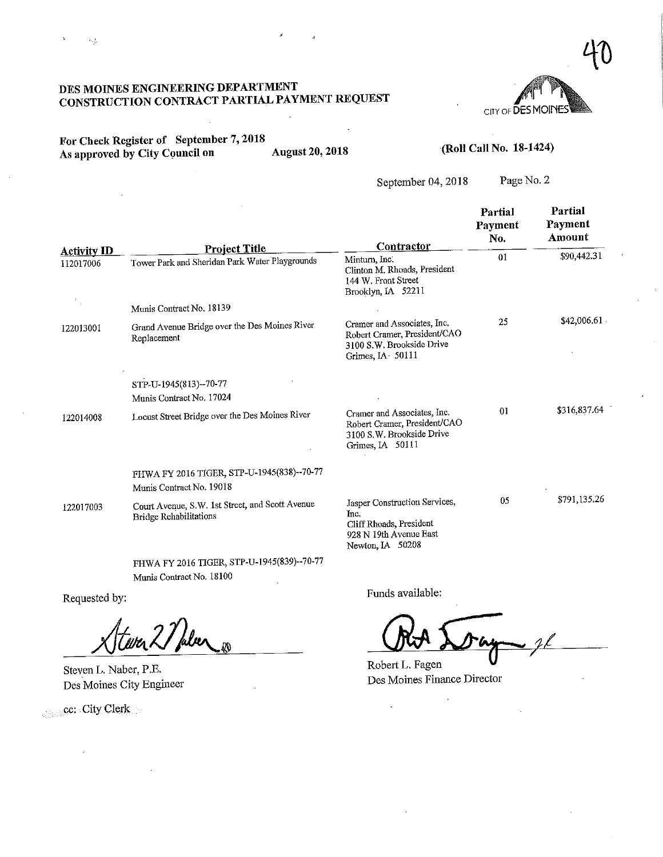

For Check Register of September 7, 2018<br>As approved by City Council on August 20, 2018 As approved by City Council on

J.

 $\bar{\mathbf{x}}$ 

 $\gamma = -\lambda \sqrt{t}$ 

#### (Roll Call No. 18-1424)

September 04, 2018 Page No. 2

|                                            |                                                                           | Contractor                                                                                                     | Partial<br>Payment<br>No. | Partial<br>Payment<br>Amount |
|--------------------------------------------|---------------------------------------------------------------------------|----------------------------------------------------------------------------------------------------------------|---------------------------|------------------------------|
| <b>Activity ID</b><br>112017006<br>$\cdot$ | <b>Project Title</b><br>Tower Park and Sheridan Park Water Playgrounds    | Minturn, Inc.<br>Clinton M. Rhoads, President<br>144 W. Front Street<br>Brooklyn, IA 52211                     | 01                        | \$90,442.31                  |
|                                            | Munis Contract No. 18139                                                  |                                                                                                                |                           |                              |
| 122013001                                  | Grand Avenue Bridge over the Des Moines River<br>Replacement              | Cramer and Associates, Inc.<br>Robert Cramer, President/CAO<br>3100 S.W. Brookside Drive<br>Grimes, IA 50111   | 25                        | \$42,006.61                  |
|                                            | STP-U-1945(813)--70-77<br>Munis Contract No. 17024                        |                                                                                                                |                           |                              |
| 122014008                                  | Locust Street Bridge over the Des Moines River                            | Cramer and Associates, Inc.<br>Robert Cramer, President/CAO<br>3100 S.W. Brookside Drive<br>Grimes, IA 50111   | 01                        | \$316,837.64                 |
|                                            | FHWA FY 2016 TIGER, STP-U-1945(838)--70-77<br>Munis Contract No. 19018    |                                                                                                                |                           |                              |
| 122017003                                  | Court Avenue, S.W. 1st Street, and Scott Avenue<br>Bridge Rehabilitations | Jasper Construction Services,<br>Inc.<br>Cliff Rhoads, President<br>928 N 19th Avenue East<br>Newton, IA 50208 | 05                        | \$791,135.26                 |

FHWA FY 2016 TIGER, STP-U-1945(839)--70-77 Munis Contract No. 18100

Requested by:

wer 2/ Julien 20

Steven L. Naber, P.E. Des Moines City Engineer

ec: City Clerk

 $\mathcal{A}$ 

Funds available:

 $\mathbf{v}$ 

 $-f_{\ell}$ 

 $Rovoint E. EE$ Des Moines Finance Du-ector

 $\mathcal{A}$